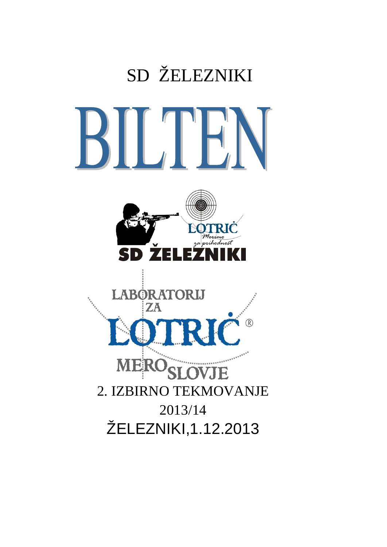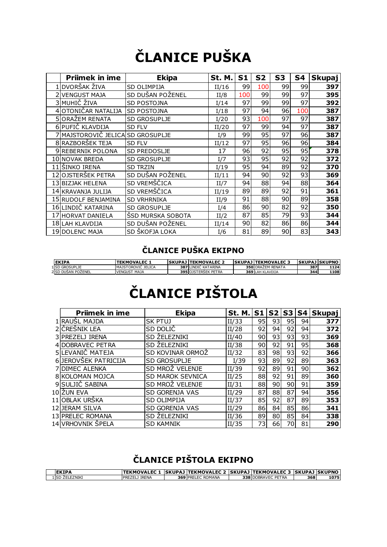# **ČLANICE PUŠKA**

| <b>Priimek in ime</b> | <b>Ekipa</b>        | St. M. | S <sub>1</sub>  | S <sub>2</sub>  | S3 | S4  | <b>Skupaj</b> |
|-----------------------|---------------------|--------|-----------------|-----------------|----|-----|---------------|
| DVORŠAK ŽIVA          | SD OLIMPIJA         | II/16  | 99              | 100             | 99 | 99  | 397           |
| 2 VENGUST MAJA        | SD DUŠAN POŽENEL    | II/8   | 100             | 99              | 99 | 97  | 395           |
| 3 MUHIČ ŽIVA          | <b>SD POSTOJNA</b>  | I/14   | 97              | 99              | 99 | 97  | 392           |
| 4 OTONIČAR NATALIJA   | <b>SD POSTOJNA</b>  | I/18   | 97              | 94              | 96 | 100 | 387           |
| 5 ORAŽEM RENATA       | <b>SD GROSUPLJE</b> | I/20   | 93              | 100             | 97 | 97  | 387           |
| 6 PUFIČ KLAVDIJA      | <b>SD FLV</b>       | II/20  | 97              | 99              | 94 | 97  | 387           |
| 7 MAJSTOROVIČ JELICA  | <b>SD GROSUPLJE</b> | I/9    | 99              | 95              | 97 | 96  | 387           |
| 8 RAZBORŠEK TEJA      | <b>SD FLV</b>       | II/12  | 97              | 95              | 96 | 96  | 384           |
| 9 REBERNIK POLONA     | <b>SD PREDOSLJE</b> | 17     | 96              | 92              | 95 | 95  | 378           |
| 10 NOVAK BREDA        | <b>SD GROSUPLJE</b> | I/7    | 93              | 95              | 92 | 92  | 372           |
| 11 ŠINKO IRENA        | <b>SD TRZIN</b>     | I/19   | 95              | 94              | 89 | 92  | 370           |
| 12 OJSTERŠEK PETRA    | SD DUŠAN POŽENEL    | II/11  | 94              | 90              | 92 | 93  | 369           |
| 13lbizjak helena      | SD VREMŠČICA        | II/7   | 94              | 88              | 94 | 88  | 364           |
| 14 KRAVANJA JULIJA    | SD VREMŠČICA        | II/19  | 89              | 89              | 92 | 91  | 361           |
| 15 RUDOLF BENJAMINA   | <b>SD VRHRNIKA</b>  | II/9   | 91              | 88              | 90 | 89  | 358           |
| 16 LINDIČ KATARINA    | <b>SD GROSUPLJE</b> | I/4    | 86              | 90 <sub>l</sub> | 82 | 92  | 350           |
| 17 HORVAT DANIELA     | ŠSD MURSKA SOBOTA   | II/2   | 87              | 85              | 79 | 93  | 344           |
| 18 LAH KLAVDIJA       | SD DUŠAN POŽENEL    | II/14  | 90 <sub>0</sub> | 82              | 86 | 86  | 344           |
| 19 DOLENC MAJA        | SD ŠKOFJA LOKA      | I/6    | 81              | 89              | 90 | 83  | 343           |

#### **ČLANICE PUŠKA EKIPNO**

| <b>IEKIPA</b>         | <b>TEKMOVALEC 1</b> | <b>ISKUPAJ ITEKMOVALEC 2</b> | <b>ISKUPAJ ITEKMOVALEC 3</b> | <b>ISKUPAJ ISKUPNO</b> |       |
|-----------------------|---------------------|------------------------------|------------------------------|------------------------|-------|
| <b>1 SD GROSUPLIE</b> | MAISTOROVIC JELICA  | <b>387 LINDIC KATARINA</b>   | 350 ORAZEM RENATA            | 387                    | 1124  |
| 2 SD DUŠAN POŽENEL    | <b>VENGUST MAJA</b> | <b>395 OJSTERSEK PETRA</b>   | <b>369 LAH KLAVDIJA</b>      | 344                    | 1108l |

# **ČLANICE PIŠTOLA**

| <b>Priimek in ime</b> | <b>Ekipa</b>            | St. M. | S <sub>1</sub> | S <sub>2</sub>  | S3 S4           |    | <b>Skupaj</b> |
|-----------------------|-------------------------|--------|----------------|-----------------|-----------------|----|---------------|
| 1 RAUSL MAJDA         | <b>SK PTUJ</b>          | II/33  | 95             | 93              | 95              | 94 | 377           |
| 2 CRESNIK LEA         | SD DOLIČ                | II/28  | 92             | 94              | 92              | 94 | 372           |
| 3 PREZELJ IRENA       | SD ŽELEZNIKI            | II/40  | 90             | 93              | 93              | 93 | 369           |
| 4 DOBRAVEC PETRA      | SD ŽELEZNIKI            | II/38  | 90             | 92              | 91              | 95 | 368           |
| 5 LEVANIČ MATEJA      | SD KOVINAR ORMOZ        | II/32  | 83             | 98              | 93              | 92 | 366           |
| 6JEROVŠEK PATRICIJA   | SD GROSUPLJE            | I/39   | 93             | 89              | 92              | 89 | 363           |
| <b>7 DIMEC ALENKA</b> | SD MROŻ VELENJE         | II/39  | 92             | 89              | 91              | 90 | 362           |
| 8 KOLOMAN MOJCA       | <b>SD MAROK SEVNICA</b> | II/25  | 88             | 92              | 91              | 89 | 360           |
| 9 SULJIĆ SABINA       | SD MROŻ VELENJE         | II/31  | 88             | 90 <sub>1</sub> | 90 <sup>°</sup> | 91 | 359           |
| 10 ŽUN EVA            | SD GORENJA VAS          | II/29  | 87             | 88              | 87              | 94 | 356           |
| 11 OBLAK URŠKA        | <b>SD OLIMPIJA</b>      | II/37  | 85             | 92              | 87              | 89 | 353           |
| 12 JERAM SILVA        | SD GORENJA VAS          | II/29  | 86             | 84              | 85              | 86 | 341           |
| 13 PRELEC ROMANA      | SD ŻELEZNIKI            | II/36  | 89             | 80              | 85              | 84 | 338           |
| 14 VRHOVNIK ŠPELA     | <b>SD KAMNIK</b>        | II/35  | 73             | 66              | 70              | 81 | 290           |

### **ČLANICE PIŠTOLA EKIPNO**

| <b>EKIPA</b>              | TEKMOVALEC 1           |      |                            | .  SKUPAJ TEKMOVALEC 2  SKUPAJ TEKMOVALEC 3  SKUPAJ SKUPNO |     |      |
|---------------------------|------------------------|------|----------------------------|------------------------------------------------------------|-----|------|
| <b>ŻELEZNIKI</b><br>LISD. | <b>IRENA</b><br>REZELI | 3691 | : ROMANA<br>⊡ FC<br>, PREJ | 338 DOBRAVEC<br>PETRA                                      | 368 | 1075 |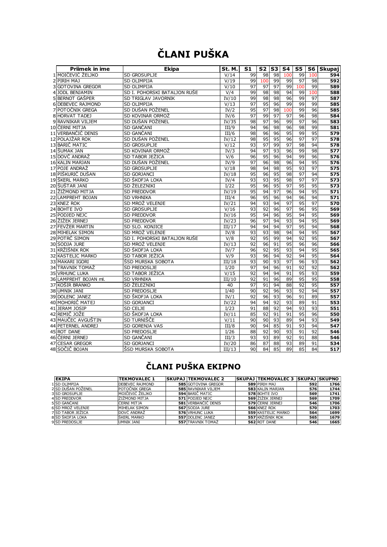## **ČLANI PUŠKA**

| <b>Priimek in ime</b> | <b>Ekipa</b>                 | St. M. | S1 | S2  | S3 | S4  | S5         | S6  | Skupaj |
|-----------------------|------------------------------|--------|----|-----|----|-----|------------|-----|--------|
| 1 MOIČEVIĆ ŽELJKO     | SD GROSUPLJE                 | V/14   | 99 | 98  | 98 | 100 | 99         | 100 | 594    |
| 2 PIRIH MAJ           | SD OLIMPIJA                  | V/19   | 99 | 100 | 99 | 99  | 97         | 98  | 592    |
| 3 GOTOVINA GREGOR     | SD OLIMPIJA                  | V/10   | 97 | 97  | 97 | 99  | 100        | 99  | 589    |
| 4 JODL BENJAMIN       | SD I. POHORSKI BATALJON RUŠE | V/4    | 99 | 98  | 98 | 94  | 99         | 100 | 588    |
| 5 BERNOT GAŠPER       | <b>SD TRIGLAV JAVORNIK</b>   | IV/10  | 99 | 98  | 98 | 96  | 99         | 97  | 587    |
| 6 DEBEVEC RAJMOND     | <b>SD OLIMPIJA</b>           | V/13   | 97 | 95  | 96 | 99  | 99         | 99  | 585    |
| 7 POTOČNIK GREGA      | SD DUŠAN POŽENEL             | IV/2   | 95 | 97  | 98 | 100 | 99         | 96  | 585    |
| 8 HORVAT TADEJ        | SD KOVINAR ORMOŽ             | IV/6   | 97 | 99  | 97 | 97  | 96         | 98  | 584    |
| 9 RAVNIKAR VILJEM     | SD DUŠAN POŽENEL             | IV/35  | 98 | 97  | 96 | 99  | 97         | 96  | 583    |
| 10 ČERNI MITJA        | SD GANČANI                   | III/9  | 94 | 96  | 98 | 96  | 98         | 99  | 581    |
| 11 VERBANČIČ DENIS    | SD GANČANI                   | III/6  | 98 | 96  | 96 | 95  | 99         | 95  | 579    |
| 12 POLAJŽAR ROK       | SD DUŠAN POŽENEL             | IV/12  | 98 | 95  | 95 | 96  | 97         | 97  | 578    |
| 13 BARIČ MATIC        | <b>SD GROSUPLIE</b>          | V/12   | 93 | 97  | 99 | 97  | 98         | 94  | 578    |
| 14 ŠUMAK JAN          | SD KOVINAR ORMOŽ             | IV/3   | 94 | 97  | 93 | 96  | 99         | 98  | 577    |
| 15 DOVČ ANDRAŽ        | SD TABOR JEŽICA              | V/6    | 96 | 95  | 96 | 94  | 99         | 96  | 576    |
| 16 KALIN MARJAN       | SD DUŠAN POŽENEL             | IV/9   | 97 | 96  | 98 | 96  | 94         | 95  | 576    |
| 17 POJE ANDRAŽ        | <b>SD GROSUPLIE</b>          | V/18   | 98 | 94  | 98 | 95  | 93         | 97  | 575    |
| 18 PIŠKURIČ DUŠAN     | <b>SD GORJANCI</b>           | IV/18  | 95 | 96  | 95 | 98  | 97         | 94  | 575    |
| 19 ŠKERL MARKO        | SD ŠKOFJA LOKA               | IV/4   | 93 | 93  | 95 | 98  | 97         | 97  | 573    |
| 20 SUSTAR JANI        | SD ŽELEZNIKI                 | I/22   | 95 | 96  | 95 | 97  | 95         | 95  | 573    |
| 21 ŽIŽMOND MITJA      | <b>SD PREDDVOR</b>           | IV/19  | 95 | 94  | 97 | 96  | 94         | 95  | 571    |
| 22 LAMPREHT BOJAN     | <b>SD VRHNIKA</b>            | III/4  | 96 | 95  | 96 | 94  | 96         | 94  | 571    |
| 23 KNEZ ROK           | SD MROŽ VELENJE              | IV/21  | 94 | 93  | 94 | 97  | 95         | 97  | 570    |
| 24 BOHTE IVO          | <b>SD GROSUPLIE</b>          | V/16   | 93 | 92  | 96 | 97  | 96         | 95  | 569    |
| 25 PODJED NEJC        | <b>SD PREDDVOR</b>           | IV/16  | 95 | 94  | 96 | 95  | 94         | 95  | 569    |
| 26 ŽIŽEK JERNEJ       | <b>SD PREDDVOR</b>           | IV/23  | 96 | 97  | 94 | 93  | 94         | 95  | 569    |
| 27 FEVZER MARTIN      | SD SLO. KONJICE              | III/17 | 94 | 94  | 94 | 97  | 95         | 94  | 568    |
| 28 MIHELAK SIMON      | SD MROŽ VELENJE              | IV/8   | 93 | 93  | 98 | 94  | 94         | 95  | 567    |
| 29 POTRČ SIMON        | SD I. POHORSKI BATALJON RUŠE | V/8    | 92 | 95  | 99 | 94  | 92         | 95  | 567    |
| 30 SODJA JURE         | SD MROŽ VELENJE              | IV/13  | 92 | 96  | 91 | 95  | 96         | 96  | 566    |
| 31 KRŽIŠNIK ROK       | SD ŠKOFJA LOKA               | IV/7   | 96 | 92  | 95 | 93  | 94         | 95  | 565    |
| 32 KASTELIC MARKO     | SD TABOR JEŽICA              | V/9    | 93 | 96  | 94 | 92  | 94         | 95  | 564    |
| 33 MAKARI IGORI       | ŠSD MURSKA SOBOTA            | III/18 | 93 | 90  | 93 | 97  | 96         | 93  | 562    |
| 34 TRAVNIK TOMAŽ      | SD PREDOSLJE                 | I/20   | 97 | 94  | 96 | 91  | 92         | 92  | 562    |
| <b>35 VRHUNC LUKA</b> | SD TABOR JEŽICA              | V/15   | 92 | 94  | 94 | 91  | 95         | 93  | 559    |
| 36 LAMPREHT BOJAN ml. | <b>SD VRHNIKA</b>            | III/10 | 92 | 91  | 96 | 89  | 95         | 95  | 558    |
| 37 KOŠIR BRANKO       | SD ŽELEZNIKI                 | 40     | 97 | 91  | 94 | 88  | 92         | 95  | 557    |
| 38 UMNIK JANI         | <b>SD PREDOSLJE</b>          | I/40   | 90 | 92  | 96 | 93  | 92         | 94  | 557    |
| 39 DOLENC JANEZ       | SD ŠKOFJA LOKA               | IV/1   | 92 | 96  | 93 | 96  | 91         | 89  | 557    |
| 40 MOHORIČ MATEJ      | <b>SD GORJANCI</b>           | IV/22  | 94 | 94  | 92 | 93  | 89         | 91  | 553    |
| 41 JERAM JOSIP        | SD CELJE                     | I/23   | 91 | 88  | 92 | 94  | 93         | 93  | 551    |
| 42 REMIČ JOŽE         | SD ŠKOFJA LOKA               | IV/11  | 85 | 92  | 91 | 91  | 95         | 96  | 550    |
| 43 MAUČEC AVGUŠTIN    | SD TURNIŠČE                  | V/11   | 90 | 90  | 93 | 89  | 94         | 93  | 549    |
| 44 PETERNEL ANDREJ    | SD GORENJA VAS               | III/8  | 90 | 94  | 85 | 91  | 93         | 94  | 547    |
| 45 ROT DANE           | SD PREDOSLJE                 | I/26   | 88 | 92  | 90 | 93  | 91         | 92  | 546    |
| 46 lčerni jernej      | SD GANCANI                   | III/3  | 93 | 93  | 89 | 92  | 91         | 88  | 546    |
| 47 CESAR GREGOR       | <b>SD GORJANCI</b>           | IV/20  | 86 | 87  | 88 | 93  | 89         | 91  | 534    |
| 48 SOČIČ BOJAN        | ŠSD MURSKA SOBOTA            | III/13 | 90 | 84  | 85 | 89  | $\bar{8}5$ | 84  | 517    |
|                       |                              |        |    |     |    |     |            |     |        |

### **ČLANI PUŠKA EKIPNO**

| <b>EKIPA</b>             | <b>TEKMOVALEC 1</b> | <b>SKUPAJ TEKMOVALEC 2</b> | SKUPAJ  TEKMOVALEC 3   SKUPAJ  SKUPNO |     |      |
|--------------------------|---------------------|----------------------------|---------------------------------------|-----|------|
| 1 SD OLIMPIJA            | DEBEVEC RAIMOND     | <b>585 GOTOVINA GREGOR</b> | 589 PIRIH MAJ                         | 592 | 1766 |
| 2 SD DUŠAN POŽENEL       | POTOČNIK GREGA      | <b>585 RAVNIKAR VILJEM</b> | 583 KALIN MARJAN                      | 576 | 1744 |
| 3 SD GROSUPLIE           | MOIČEVIĆ ŽELJKO     | 594 BARIC MATIC            | 578 BOHTE IVO                         | 569 | 1741 |
| 4 SD PREDDVOR            | ŽIŽMOND MITJA       | 571 PODJED NEIC            | 569 ŽIŽEK JERNEJ                      | 569 | 1709 |
| 5 SD GANČANI             | ČERNI MITJA         | 581 VERBANČIČ DENIS        | 579 CERNI JERNEJ                      | 546 | 1706 |
| 6 SD MROŽ VELENIE        | MIHELAK SIMON       | 567 SODJA JURE             | 566 KNEZ ROK                          | 570 | 1703 |
| <b>7 SD TABOR JEŽICA</b> | DOVČ ANDRAŽ         | <b>576 VRHUNC LUKA</b>     | <b>559 KASTELIC MARKO</b>             | 564 | 1699 |
| 8 SD ŠKOFJA LOKA         | <b>SKERL MARKO</b>  | 557 DOLENC JANEZ           | 557 KRŽIŠNIK ROK                      | 565 | 1679 |
| 9 SD PREDOSLJE           | UMNIK JANI          | <b>557 TRAVNIK TOMAZ</b>   | 562 ROT DANE                          | 546 | 1665 |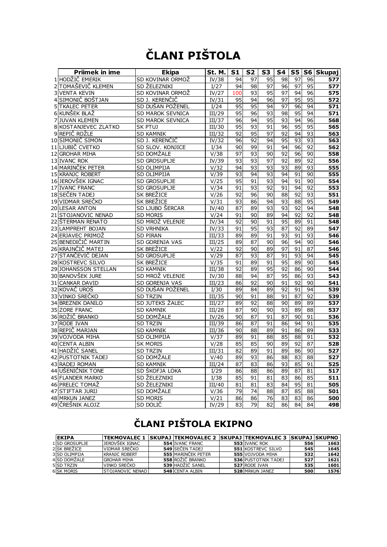## **ČLANI PIŠTOLA**

| <b>Priimek in ime</b> | <b>Ekipa</b>        | St. M. | S <sub>1</sub> | S <sub>2</sub>  | S <sub>3</sub> | S4 | <b>S5</b> |    | S6 Skupaj        |
|-----------------------|---------------------|--------|----------------|-----------------|----------------|----|-----------|----|------------------|
| 1 HODŽIČ EMERIK       | SD KOVINAR ORMOŽ    | IV/38  | 94             | 97              | 95             | 98 | 97        | 96 | 577              |
| 2 TOMAŠEVIČ KLEMEN    | SD ŽELEZNIKI        | I/27   | 94             | 98              | 97             | 96 | 97        | 95 | 577              |
| <b>3 VENTA KEVIN</b>  | SD KOVINAR ORMOŽ    | IV/27  | 100            | 93              | 95             | 97 | 94        | 96 | 575              |
| 4 SIMONIČ BOŠTJAN     | SD J. KERENČIČ      | IV/31  | 95             | 94              | 96             | 97 | 95        | 95 | 572              |
| 5TKALEC PETER         | SD DUŠAN POŽENEL    | I/24   | 95             | 95              | 94             | 97 | 96        | 94 | 571              |
| 6 KUNŠEK BLAŽ         | SD MAROK SEVNICA    | III/29 | 95             | 96              | 93             | 98 | 95        | 94 | 571              |
| 7 JUVAN KLEMEN        | SD MAROK SEVNICA    | III/37 | 96             | 94              | 95             | 93 | 94        | 96 | 568              |
| 8 KOSTANJEVEC ZLATKO  | <b>SK PTUJ</b>      | III/30 | 95             | 93              | 91             | 96 | 95        | 95 | 565              |
| 9 REPIČ ROŽLE         | <b>SD KAMNIK</b>    | III/32 | 92             | 95              | 97             | 92 | 94        | 93 | 563              |
| 10 SIMONIČ SIMON      | SD J. KERENČIČ      | IV/32  | 96             | 92              | 94             | 95 | 93        | 93 | 563              |
| 11 LJUBIČ CVETKO      | SD SLOV. KONJICE    | I/34   | 90             | 99              | 91             | 94 | 96        | 92 | 562              |
| 12 GROHAR MIHA        | SD DOMŽALE          | V/38   | 97             | 93              | 90             | 92 | 96        | 90 | 558              |
| 13 IVANC ROK          | SD GROSUPLJE        | IV/39  | 93             | 93              | 97             | 92 | 89        | 92 | 556              |
| 14 MARINČEK PETER     | SD OLIMPIJA         | V/32   | 94             | 93              | 93             | 93 | 89        | 93 | 555              |
| 15 KRANJC ROBERT      | SD OLIMPIJA         | V/39   | 93             | 94              | 93             | 94 | 91        | 90 | 555              |
| 16 JEROVŠEK IGNAC     | SD GROSUPLJE        | V/25   | 95             | 91              | 93             | 94 | 91        | 90 | 554              |
| 17 IVANC FRANC        | SD GROSUPLJE        | V/34   | 91             | 93              | 92             | 91 | 94        | 92 | 553              |
| 18 SEČEN TADEJ        | SK BREŽICE          | V/26   | 92             | 96              | 90             | 88 | 92        | 93 | 551              |
| 19 VIDMAR SREČKO      | SK BREŽICE          | V/31   | 93             | 86              | 94             | 93 | 88        | 95 | 549              |
| 20 LESAR ANTON        | SD LJUBO ŠERCAR     | IV/40  | 87             | 89              | 93             | 93 | 92        | 94 | 548              |
| 21 STOJANOVIC NENAD   | <b>SD MORIS</b>     | V/24   | 91             | 90              | 89             | 94 | 92        | 92 | 548              |
| 22 ŠTERMAN RENATO     | SD MROŽ VELENJE     | IV/34  | 92             | 90              | 91             | 95 | 89        | 91 | 548              |
| 23 LAMPREHT BOJAN     | <b>SD VRHNIKA</b>   | IV/33  | 91             | 95              | 93             | 87 | 92        | 89 | 547              |
| 24 ERJAVEC PRIMOŽ     | <b>SD PIRAN</b>     | III/33 | 89             | 89              | 91             | 93 | 91        | 93 | 546              |
| 25 BENEDIČIČ MARTIN   | SD GORENJA VAS      | III/25 | 89             | 87              | 90             | 96 | 94        | 90 | 546              |
| 26 KRAJNČIČ MATEJ     | SK BREŽICE          | V/22   | 92             | 90              | 89             | 97 | 91        | 87 | 546              |
| 27 STANČEVIČ DEJAN    | <b>SD GROSUPLIE</b> | V/29   | 87             | 93              | 87             | 91 | 93        | 94 | 545              |
| 28 KOSTREVC SILVO     | SK BREŽICE          | V/35   | 91             | 89              | 91             | 95 | 89        | 90 | 545              |
| 29 JOHANSSON STELLAN  | <b>SD KAMNIK</b>    | III/38 | 92             | 89              | 95             | 92 | 86        | 90 | 544              |
| 30 BANOVŠEK JURE      | SD MROŽ VELENJE     | IV/30  | 88             | 94              | 87             | 95 | 86        | 93 | 543              |
| 31 CANKAR DAVID       | SD GORENJA VAS      | III/23 | 86             | 92              | 90             | 91 | 92        | 90 | 541              |
| 32 KOVAČ UROŠ         | SD DUŠAN POŽENEL    | I/30   | 89             | 84              | 89             | 92 | 91        | 94 | 539              |
| 33 VINKO SREČKO       | <b>SD TRZIN</b>     | III/35 | 90             | 91              | 88             | 91 | 87        | 92 | 539              |
| 34 BREZNIK DANILO     | SD JUTEKS ŽALEC     | III/27 | 89             | $\overline{92}$ | 88             | 90 | 89        | 89 | $\overline{537}$ |
| 35 ZORE FRANC         | <b>SD KAMNIK</b>    | III/28 | 87             | 90              | 90             | 93 | 89        | 88 | 537              |
| 36 ROŽIČ BRANKO       | SD DOMŽALE          | IV/26  | 90             | 87              | 91             | 87 | 90        | 91 | 536              |
| 37 RODE IVAN          | <b>SD TRZIN</b>     | III/39 | 86             | 87              | 91             | 86 | 94        | 91 | 535              |
| 38 REPIČ MARJAN       | <b>SD KAMNIK</b>    | III/36 | 90             | 88              | 89             | 91 | 86        | 89 | $\overline{533}$ |
| 39 VOJVODA MIHA       | SD OLIMPIJA         | V/37   | 89             | 91              | 88             | 85 | 88        | 91 | 532              |
| 40 CENTA ALBIN        | <b>SK MORIS</b>     | V/28   | 85             | 85              | 90             | 89 | 92        | 87 | 528              |
| 41 HADŽIĆ SANEL       | <b>SD TRZIN</b>     | III/31 | 82             | 89              | 91             | 89 | 86        | 90 | 527              |
| 42 PUSTOTNIK TADE1    | SD DOMŽALE          | V/40   | 89             | 93              | 86             | 88 | 83        | 88 | 527              |
| 43 RADEJ ROMAN        | <b>SD KAMNIK</b>    | III/24 | 87             | 83              | 86             | 93 | 85        | 91 | 525              |
| 44 UŠENIČNIK TONE     | SD ŠKOFJA LOKA      | I/29   | 86             | 88              | 86             | 89 | 87        | 81 | 517              |
| 45 FLANDER MARKO      | SD ŽELEZNIKI        | I/38   | 85             | 91              | 81             | 83 | 86        | 85 | 511              |
| 46 PRELEC TOMAŽ       | SD ŽELEZNIKI        | III/40 | 81             | 81              | 83             | 84 | 95        | 81 | 505              |
| 47 STIFTAR JURIJ      | SD DOMŽALE          | V/36   | 79             | 74              | 88             | 87 | 85        | 88 | 501              |
| 48 MRKUN JANEZ        | <b>SD MORIS</b>     | V/21   | 86             | 86              | 76             | 83 | 83        | 86 | 500              |
| 49 ČREŠNIK ALOJZ      | SD DOLIČ            | IV/29  | 83             | 79              | 82             | 86 | 84        | 84 | 498              |

### **ČLANI PIŠTOLA EKIPNO**

| <b>EKIPA</b>          |                         |                           | TEKMOVALEC 1  SKUPAJ  TEKMOVALEC 2  SKUPAJ  TEKMOVALEC 3  SKUPAJ  SKUPNO |     |      |
|-----------------------|-------------------------|---------------------------|--------------------------------------------------------------------------|-----|------|
| <b>1 SD GROSUPLIE</b> | JEROVŠEK IGNAC          | <b>554 IVANC FRANC</b>    | 553 IVANC ROK                                                            | 556 | 1663 |
| 2 SK BREŽICE          | VIDMAR SREČKO           | <b>549 ISECEN TADE1</b>   | <b>551 KOSTREVC SILVO</b>                                                | 545 | 1645 |
| 3 SD OLIMPIJA         | <b>KRANJC ROBERT</b>    | <b>555 MARINCEK PETER</b> | 555 VOJVODA MIHA                                                         | 532 | 1642 |
| 4 SD DOMŽALE          | <b>GROHAR MIHA</b>      | 558 ROŽIČ BRANKO          | <b>536 PUSTOTNIK TADEJ</b>                                               | 527 | 1621 |
| 5 SD TRZIN            | VINKO SREČKO            | 539 HADŽIĆ SANEL          | 527 RODE IVAN                                                            | 535 | 1601 |
| <b>6 SK MORIS</b>     | <b>STOJANOVIC NENAD</b> | <b>548 CENTA ALBIN</b>    | 528 MRKUN JANEZ                                                          | 500 | 1576 |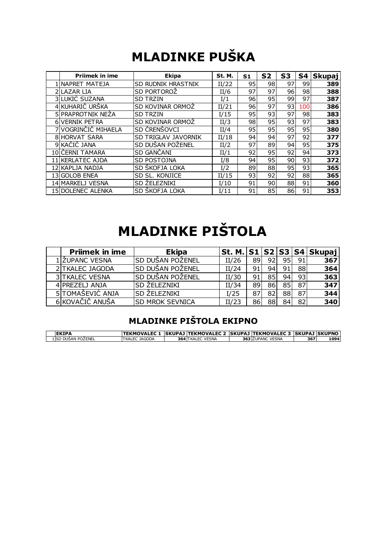## **MLADINKE PUŠKA**

|                       | <b>MLADINKE PUŠKA</b>      |        |                |    |    |     |               |
|-----------------------|----------------------------|--------|----------------|----|----|-----|---------------|
| <b>Priimek in ime</b> | <b>Ekipa</b>               | St. M. | S <sub>1</sub> | S2 | S3 | S4  | <b>Skupaj</b> |
| INAPRET MATEJA        | <b>SD RUDNIK HRASTNIK</b>  | II/22  | 95             | 98 | 97 | 99  | 389           |
| 2 LAZAR LIA           | <b>SD PORTOROZ</b>         | II/6   | 97             | 97 | 96 | 98  | 388           |
| <b>3 LUKIĆ SUZANA</b> | <b>SD TRZIN</b>            | I/1    | 96             | 95 | 99 | 97  | 387           |
| 4 KUHARIČ URŠKA       | <b>SD KOVINAR ORMOZ</b>    | II/21  | 96             | 97 | 93 | 100 | 386           |
| 5 PRAPROTNIK NEŻA     | <b>SD TRZIN</b>            | I/15   | 95             | 93 | 97 | 98  | 383           |
| <b>6 VERNIK PETRA</b> | ISD KOVINAR ORMOZ          | II/3   | 98             | 95 | 93 | 97  | 383           |
| VOGRINČIČ MIHAELA     | SD CRENSOVCI               | II/4   | 95             | 95 | 95 | 95  | 380           |
| <b>8IHORVAT SARA</b>  | <b>SD TRIGLAV JAVORNIK</b> | II/18  | 94             | 94 | 97 | 92  | 377           |
| 9 KAČIĆ JANA          | SD DUŠAN POŽENEL           | II/2   | 97             | 89 | 94 | 95  | 375           |
| 10 ČERNI TAMARA       | <b>SD GANCANI</b>          | II/1   | 92             | 95 | 92 | 94  | 373           |
| 11 KERLATEC AJDA      | <b>SD POSTOJNA</b>         | I/8    | 94             | 95 | 90 | 93  | 372           |
| 12 KAPLJA NADJA       | <b>SD SKOFJA LOKA</b>      | I/2    | 89             | 88 | 95 | 93  | 365           |
| 13 GOLOB ENEA         | SD SL, KONJICE             | II/15  | 93             | 92 | 92 | 88  | 365           |
| 14 MARKELJ VESNA      | SD ZELEZNIKI               | I/10   | 91             | 90 | 88 | 91  | 360           |
| 15 DOLENEC ALENKA     | <b>SD SKOFJA LOKA</b>      | I/11   | 91             | 85 | 86 | 91  | 353           |

## **MLADINKE PIŠTOLA**

| <b>MLADINKE PISTOLA</b> |                        |       |    |    |    |    |                              |  |  |  |
|-------------------------|------------------------|-------|----|----|----|----|------------------------------|--|--|--|
| <b>Priimek in ime</b>   | <b>Ekipa</b>           |       |    |    |    |    | St. M. $ S1 S2 S3 S4 Skupaj$ |  |  |  |
| . ŽUPANC VESNA          | ISD DUŠAN POŽENEL      | II/26 | 89 | 92 | 95 | 91 | 367                          |  |  |  |
| 2 TKALEC JAGODA         | SD DUŠAN POŽENEL       | II/24 | 91 | 94 | 91 | 88 | 364                          |  |  |  |
| <b>3 TKALEC VESNA</b>   | SD DUŠAN POŽENEL       | II/30 | 91 | 85 | 94 | 93 | $\frac{1}{363}$              |  |  |  |
| 4 PREZELJ ANJA          | <b>SD ZELEZNIKI</b>    | II/34 | 89 | 86 | 85 | 87 | 347                          |  |  |  |
| 5 TOMAŠEVIĆ ANJA        | <b>ISD ŽELEZNIKI</b>   | I/25  | 87 | 82 | 88 | 87 | 344                          |  |  |  |
| 6 KOVAČIČ ANUŠA         | <b>SD MROK SEVNICA</b> | II/23 | 86 | 88 | 84 | 82 | 340                          |  |  |  |

### **MLADINKE PIŠTOLA EKIPNO**

| <b>IEKIPA</b>       | TEKMOVALEC 1  SKUPAJ TEKMOVALEC 2  SKUPAJ TEKMOVALEC 3  SKUPAJ SKUPNO |                         |                  |     |      |
|---------------------|-----------------------------------------------------------------------|-------------------------|------------------|-----|------|
| 1 ISD DUŠAN POŽENEL | TKALEC JAGODA                                                         | <b>364 TKALEC VESNA</b> | 363 ŽUPANC VESNA | 367 | 1094 |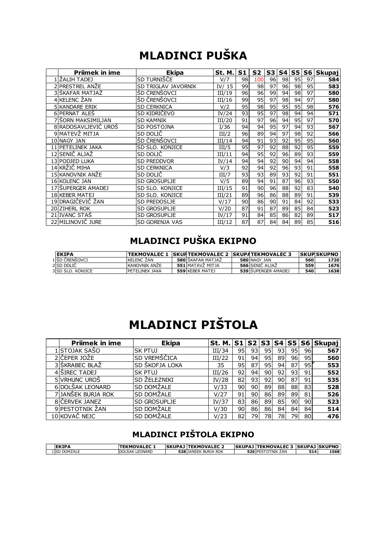## **MLADINCI PUŠKA**

|                       | <b>MLADINCI PUŠKA</b> |          |                |                |                |    |                 |    |               |
|-----------------------|-----------------------|----------|----------------|----------------|----------------|----|-----------------|----|---------------|
| <b>Priimek in ime</b> | <b>Ekipa</b>          | St. M.   | S <sub>1</sub> | S <sub>2</sub> | S <sub>3</sub> | S4 | S5              | S6 | <b>Skupaj</b> |
| 1 ZALIH TADEJ         | SD TURNIŠČE           | V/7      | 98             | 100            | 96             | 98 | 95              | 97 | 584           |
| 2 PRESTREL ANŽE       | SD TRIGLAV JAVORNIK   | IV/ $15$ | 99             | 98             | 97             | 96 | $\overline{98}$ | 95 | 583           |
| 3 ŠKAFAR MATJAŽ       | ŠD ČRENŠOVCI          | III/19   | 96             | 96             | 99             | 94 | 98              | 97 | 580           |
| 4 KELENC ŽAN          | ŠD ČRENŠOVCI          | III/16   | 99             | 95             | 97             | 98 | 94              | 97 | 580           |
| <b>5 KANDARE ERIK</b> | <b>SD CERKNICA</b>    | V/2      | 95             | 98             | 95             | 95 | 95              | 98 | 576           |
| 6 PERNAT ALEŠ         | SD KIDRIČEVO          | IV/24    | 93             | 95             | 97             | 98 | 94              | 94 | 571           |
| 7 SORN MAKSIMILJAN    | <b>SD KAMNIK</b>      | III/20   | 91             | 97             | 96             | 94 | 95              | 97 | 570           |
| 8 RADOSAVLJEVIČ UROŠ  | SD POSTOJNA           | I/36     | 94             | 94             | 95             | 97 | 94              | 93 | 567           |
| 9 MATEVŽ MITJA        | SD DOLIC              | III/2    | 96             | 89             | 94             | 97 | $\overline{98}$ | 92 | 566           |
| 10 NAGY JAN           | ŠD ČRENŠOVCI          | III/14   | 94             | 91             | 93             | 92 | 95              | 95 | 560           |
| 11 PET ELINEK JAKA    | SD SLO. KONJICE       | III/5    | 95             | 97             | 92             | 88 | 92              | 95 | 559           |
| 12 SENIČ ALJAŽ        | SD DOLIC              | III/11   | 94             | 95             | 92             | 96 | 89              | 93 | 559           |
| 13 PODJED LUKA        | <b>SD PREDDVOR</b>    | IV/14    | 94             | 94             | 92             | 90 | 94              | 94 | 558           |
| 14 KRŽIČ MIHA         | <b>SD CERKNICA</b>    | V/3      | 92             | 94             | 92             | 96 | $\overline{93}$ | 91 | 558           |
| 15 KANOVNIK ANŽE      | SD DOLIČ              | III/7    | 93             | 93             | 89             | 93 | 92              | 91 | 551           |
| 16 KOLENC JAN         | <b>SD GROSUPLIE</b>   | V/5      | 89             | 94             | 91             | 87 | 96              | 93 | 550           |
| 17 ŠUPERGER AMADEJ    | SD SLO. KONJICE       | III/15   | 91             | 90             | 96             | 88 | 92              | 83 | 540           |
| 18 KEBER MATEJ        | SD SLO. KONJICE       | III/21   | 89             | 96             | 86             | 88 | 89              | 91 | 539           |
| 19 DRAGIČEVIČ ŽAN     | <b>SD PREDOSLJE</b>   | V/17     | 90             | 86             | 90             | 91 | 84              | 92 | 533           |
| 20 ZIHERL ROK         | <b>SD GROSUPLIE</b>   | V/20     | 87             | 91             | 87             | 89 | 85              | 84 | 523           |
| 21 IVANC STAŠ         | <b>SD GROSUPLIE</b>   | IV/17    | 91             | 84             | 85             | 86 | 82              | 89 | 517           |
| 22 MILINOVIČ JURE     | <b>SD GORENJA VAS</b> | III/12   | 87             | 87             | 84             | 84 | 89              | 85 | 516           |

### **MLADINCI PUŠKA EKIPNO**

| <b>IEKIPA</b>     | TEKMOVALEC 1  SKUPTEKMOVALEC 2  SKUPATEKMOVALEC 3 |                          |                        |     | <b>SKUPSKUPNO</b> |
|-------------------|---------------------------------------------------|--------------------------|------------------------|-----|-------------------|
| 1 IŠD ČRENŠOVCI   | <b>KELENC ZAN</b>                                 | <b>580 SKAFAR MATJAZ</b> | 580 NAGY JAN           | 560 | 1720              |
| 2 SD DOLIC        | <b>KANOVNIK ANZE</b>                              | 551 MATAVZ MITJA         | <b>566 SENIC ALJAZ</b> | 559 | 1676              |
| 3 SD SLO. KONJICE | <b>IPETELINEK JAKA</b>                            | 559 KEBER MATEJ          | 539 SUPERGER AMADEJ    | 540 | 1638              |

## **MLADINCI PIŠTOLA**

| <b>MLADINCI PIŠTOLA</b> |                       |        |    |     |    |    |     |    |                  |
|-------------------------|-----------------------|--------|----|-----|----|----|-----|----|------------------|
| <b>Prijmek in ime</b>   | <b>Ekipa</b>          | St. M. | S1 | S2  | S3 | S4 |     |    | S5   S6   Skupaj |
| .lstojak sašo           | ISK PTUJ              | III/34 | 95 | 931 | 95 | 93 | 951 | 96 | 567              |
| ČEPER JOŽE              | <b>SD VREMŠČICA</b>   | III/22 | 91 | 94  | 95 | 89 | 96  | 95 | 560              |
| 3 ŠKRABEC BLAŽ          | <b>SD ŠKOFJA LOKA</b> | 35     | 95 | 87  | 95 | 94 | 87  | 95 | 553              |
| 4 SIREC TADEJ           | lsk ptuj              | III/26 | 92 | 94  | 90 | 92 | 93  | 91 | 552              |
| <b>5 VRHUNC UROS</b>    | <b>SD ZELEZNIKI</b>   | IV/28  | 82 | 93  | 92 | 90 | 87  | 91 | 535              |
| 6 DOLŠAK LEONARD        | <b>SD DOMŻALE</b>     | V/33   | 90 | 90I | 89 | 88 | 88  | 83 | 528              |
| 7 JJANŚEK BURJA ROK     | <b>SD DOMŻALE</b>     | V/27   | 91 | 90  | 86 | 89 | 89  | 81 | 526              |
| 8 ČERVEK JANEZ          | <b>SD GROSUPLIE</b>   | IV/37  | 83 | 86  | 89 | 85 | 90  | 90 | 523              |
| 9 PESTOTNIK ZAN         | <b>SD DOMZALE</b>     | V/30   | 90 | 86I | 86 | 84 | 84  | 84 | 514              |
| 10lkOVAČ NEJC           | <b>SD DOMZALE</b>     | V/23   | 82 | 79l | 78 | 78 | 79  | 80 | 476              |

### **MLADINCI PIŠTOLA EKIPNO**

| <b>EKIPA</b>     | <b>TEKMOVALEC</b> | <b>ISKUPAJ</b> | <b>TEKMOVALEC 2</b>   |        | <b>SKUPAJ TEKMOVALEC 3</b><br>- 35 |     | <b>SKUPAJ SKUPNO</b> |
|------------------|-------------------|----------------|-----------------------|--------|------------------------------------|-----|----------------------|
| 1 ISD<br>DOMŽALE | DOLŠAK LEONARD    | 528            | ROK<br>" JANŠEK BURJA | 526 PE | TNIK ŽAN<br>$\cdot$                | 514 | 1568                 |